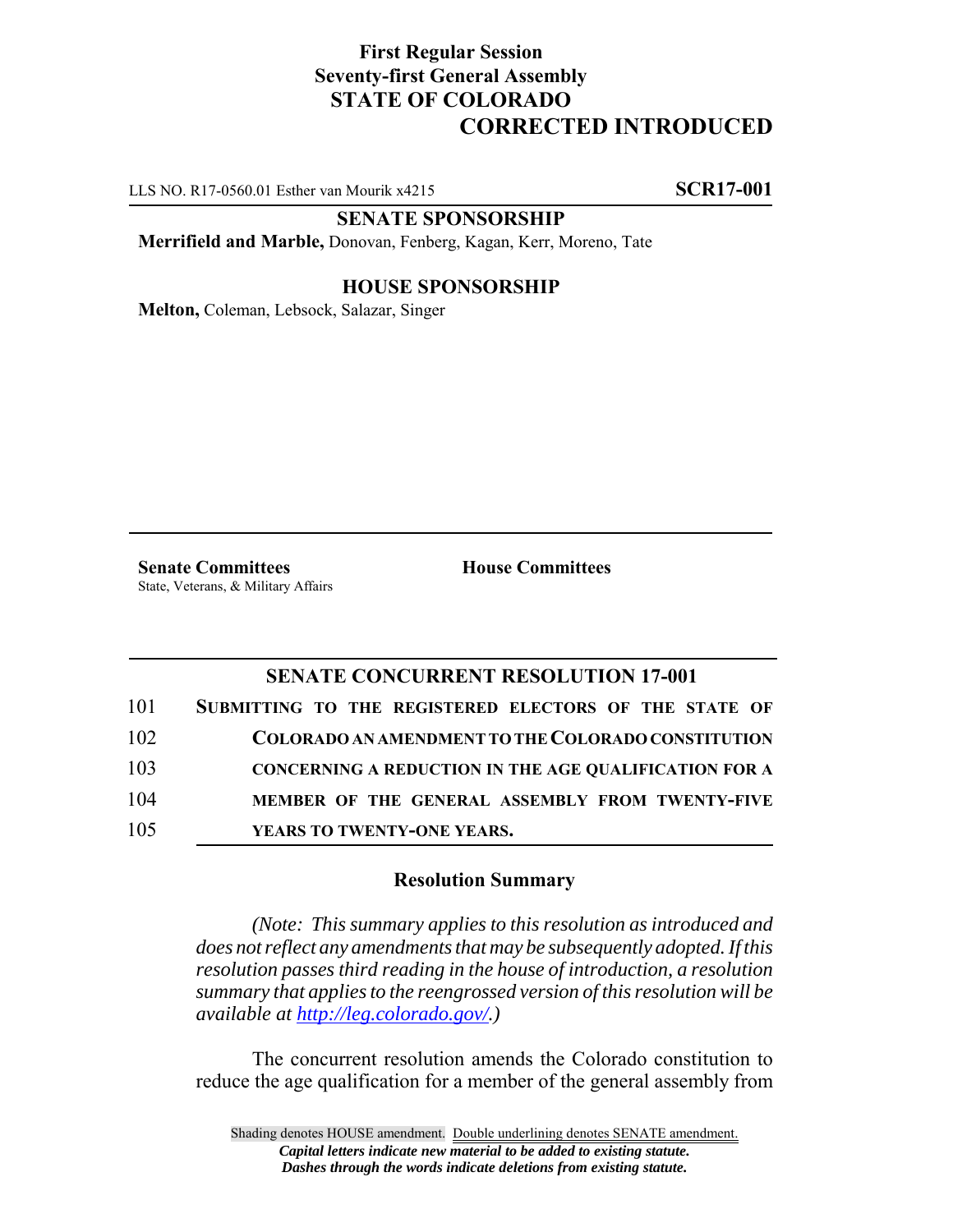# **First Regular Session Seventy-first General Assembly STATE OF COLORADO CORRECTED INTRODUCED**

LLS NO. R17-0560.01 Esther van Mourik x4215 **SCR17-001**

### **SENATE SPONSORSHIP**

**Merrifield and Marble,** Donovan, Fenberg, Kagan, Kerr, Moreno, Tate

### **HOUSE SPONSORSHIP**

**Melton,** Coleman, Lebsock, Salazar, Singer

**Senate Committees House Committees** State, Veterans, & Military Affairs

## **SENATE CONCURRENT RESOLUTION 17-001**

| 101 | SUBMITTING TO THE REGISTERED ELECTORS OF THE STATE OF        |
|-----|--------------------------------------------------------------|
| 102 | COLORADO AN AMENDMENT TO THE COLORADO CONSTITUTION           |
| 103 | <b>CONCERNING A REDUCTION IN THE AGE QUALIFICATION FOR A</b> |
| 104 | MEMBER OF THE GENERAL ASSEMBLY FROM TWENTY-FIVE              |
| 105 | YEARS TO TWENTY-ONE YEARS.                                   |

#### **Resolution Summary**

*(Note: This summary applies to this resolution as introduced and does not reflect any amendments that may be subsequently adopted. If this resolution passes third reading in the house of introduction, a resolution summary that applies to the reengrossed version of this resolution will be available at http://leg.colorado.gov/.)*

The concurrent resolution amends the Colorado constitution to reduce the age qualification for a member of the general assembly from